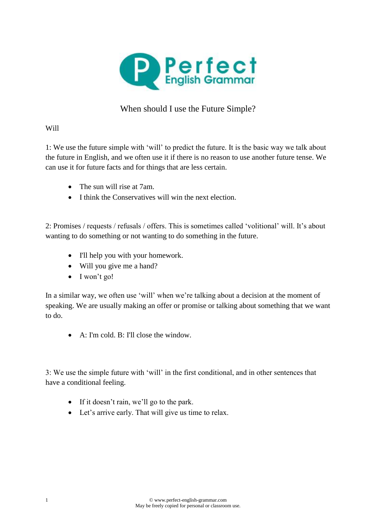

## When should I use the Future Simple?

## Will

1: We use the future simple with 'will' to predict the future. It is the basic way we talk about the future in English, and we often use it if there is no reason to use another future tense. We can use it for future facts and for things that are less certain.

- The sun will rise at 7am.
- I think the Conservatives will win the next election.

2: Promises / requests / refusals / offers. This is sometimes called 'volitional' will. It's about wanting to do something or not wanting to do something in the future.

- I'll help you with your homework.
- Will you give me a hand?
- I won't go!

In a similar way, we often use 'will' when we're talking about a decision at the moment of speaking. We are usually making an offer or promise or talking about something that we want to do.

A: I'm cold. B: I'll close the window.

3: We use the simple future with 'will' in the first conditional, and in other sentences that have a conditional feeling.

- If it doesn't rain, we'll go to the park.
- Let's arrive early. That will give us time to relax.